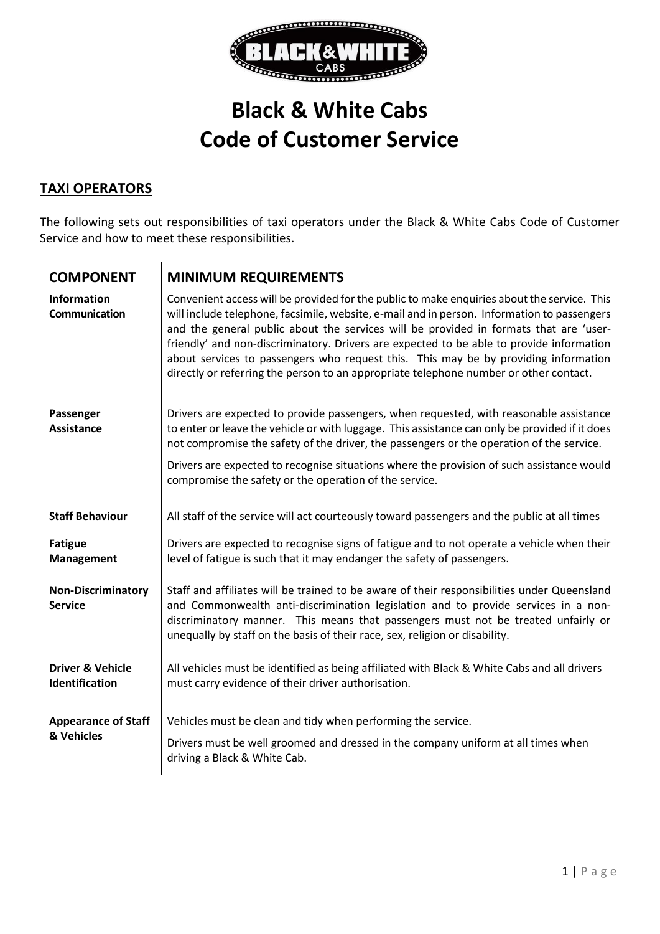

## **Black & White Cabs Code of Customer Service**

## **TAXI OPERATORS**

The following sets out responsibilities of taxi operators under the Black & White Cabs Code of Customer Service and how to meet these responsibilities.

| <b>COMPONENT</b>                              | <b>MINIMUM REQUIREMENTS</b>                                                                                                                                                                                                                                                                                                                                                                                                                                                                                                                                     |
|-----------------------------------------------|-----------------------------------------------------------------------------------------------------------------------------------------------------------------------------------------------------------------------------------------------------------------------------------------------------------------------------------------------------------------------------------------------------------------------------------------------------------------------------------------------------------------------------------------------------------------|
| <b>Information</b><br>Communication           | Convenient access will be provided for the public to make enquiries about the service. This<br>will include telephone, facsimile, website, e-mail and in person. Information to passengers<br>and the general public about the services will be provided in formats that are 'user-<br>friendly' and non-discriminatory. Drivers are expected to be able to provide information<br>about services to passengers who request this. This may be by providing information<br>directly or referring the person to an appropriate telephone number or other contact. |
| Passenger<br><b>Assistance</b>                | Drivers are expected to provide passengers, when requested, with reasonable assistance<br>to enter or leave the vehicle or with luggage. This assistance can only be provided if it does<br>not compromise the safety of the driver, the passengers or the operation of the service.                                                                                                                                                                                                                                                                            |
|                                               | Drivers are expected to recognise situations where the provision of such assistance would<br>compromise the safety or the operation of the service.                                                                                                                                                                                                                                                                                                                                                                                                             |
| <b>Staff Behaviour</b>                        | All staff of the service will act courteously toward passengers and the public at all times                                                                                                                                                                                                                                                                                                                                                                                                                                                                     |
| <b>Fatigue</b><br>Management                  | Drivers are expected to recognise signs of fatigue and to not operate a vehicle when their<br>level of fatigue is such that it may endanger the safety of passengers.                                                                                                                                                                                                                                                                                                                                                                                           |
| <b>Non-Discriminatory</b><br><b>Service</b>   | Staff and affiliates will be trained to be aware of their responsibilities under Queensland<br>and Commonwealth anti-discrimination legislation and to provide services in a non-<br>discriminatory manner. This means that passengers must not be treated unfairly or<br>unequally by staff on the basis of their race, sex, religion or disability.                                                                                                                                                                                                           |
| <b>Driver &amp; Vehicle</b><br>Identification | All vehicles must be identified as being affiliated with Black & White Cabs and all drivers<br>must carry evidence of their driver authorisation.                                                                                                                                                                                                                                                                                                                                                                                                               |
| <b>Appearance of Staff</b><br>& Vehicles      | Vehicles must be clean and tidy when performing the service.<br>Drivers must be well groomed and dressed in the company uniform at all times when<br>driving a Black & White Cab.                                                                                                                                                                                                                                                                                                                                                                               |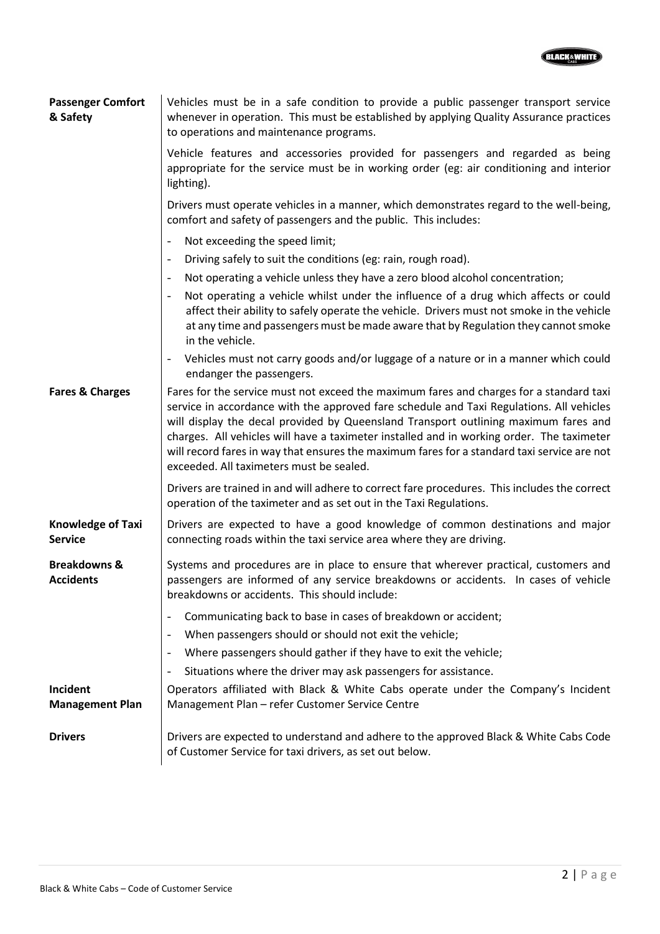

| <b>Passenger Comfort</b><br>& Safety        | Vehicles must be in a safe condition to provide a public passenger transport service<br>whenever in operation. This must be established by applying Quality Assurance practices<br>to operations and maintenance programs.                                                                                                                                                                                                                                                                                         |
|---------------------------------------------|--------------------------------------------------------------------------------------------------------------------------------------------------------------------------------------------------------------------------------------------------------------------------------------------------------------------------------------------------------------------------------------------------------------------------------------------------------------------------------------------------------------------|
|                                             | Vehicle features and accessories provided for passengers and regarded as being<br>appropriate for the service must be in working order (eg: air conditioning and interior<br>lighting).                                                                                                                                                                                                                                                                                                                            |
|                                             | Drivers must operate vehicles in a manner, which demonstrates regard to the well-being,<br>comfort and safety of passengers and the public. This includes:                                                                                                                                                                                                                                                                                                                                                         |
|                                             | Not exceeding the speed limit;<br>$\overline{\phantom{a}}$                                                                                                                                                                                                                                                                                                                                                                                                                                                         |
|                                             | Driving safely to suit the conditions (eg: rain, rough road).<br>$\overline{\phantom{a}}$                                                                                                                                                                                                                                                                                                                                                                                                                          |
|                                             | Not operating a vehicle unless they have a zero blood alcohol concentration;<br>$\overline{\phantom{a}}$                                                                                                                                                                                                                                                                                                                                                                                                           |
|                                             | Not operating a vehicle whilst under the influence of a drug which affects or could<br>$\overline{\phantom{a}}$<br>affect their ability to safely operate the vehicle. Drivers must not smoke in the vehicle<br>at any time and passengers must be made aware that by Regulation they cannot smoke<br>in the vehicle.                                                                                                                                                                                              |
|                                             | - Vehicles must not carry goods and/or luggage of a nature or in a manner which could<br>endanger the passengers.                                                                                                                                                                                                                                                                                                                                                                                                  |
| <b>Fares &amp; Charges</b>                  | Fares for the service must not exceed the maximum fares and charges for a standard taxi<br>service in accordance with the approved fare schedule and Taxi Regulations. All vehicles<br>will display the decal provided by Queensland Transport outlining maximum fares and<br>charges. All vehicles will have a taximeter installed and in working order. The taximeter<br>will record fares in way that ensures the maximum fares for a standard taxi service are not<br>exceeded. All taximeters must be sealed. |
|                                             | Drivers are trained in and will adhere to correct fare procedures. This includes the correct<br>operation of the taximeter and as set out in the Taxi Regulations.                                                                                                                                                                                                                                                                                                                                                 |
| <b>Knowledge of Taxi</b><br><b>Service</b>  | Drivers are expected to have a good knowledge of common destinations and major<br>connecting roads within the taxi service area where they are driving.                                                                                                                                                                                                                                                                                                                                                            |
| <b>Breakdowns &amp;</b><br><b>Accidents</b> | Systems and procedures are in place to ensure that wherever practical, customers and<br>passengers are informed of any service breakdowns or accidents. In cases of vehicle<br>breakdowns or accidents. This should include:                                                                                                                                                                                                                                                                                       |
|                                             | Communicating back to base in cases of breakdown or accident;<br>When passengers should or should not exit the vehicle;<br>$\overline{\phantom{a}}$<br>Where passengers should gather if they have to exit the vehicle;<br>$\overline{\phantom{a}}$                                                                                                                                                                                                                                                                |
|                                             | Situations where the driver may ask passengers for assistance.                                                                                                                                                                                                                                                                                                                                                                                                                                                     |
| Incident<br><b>Management Plan</b>          | Operators affiliated with Black & White Cabs operate under the Company's Incident<br>Management Plan - refer Customer Service Centre                                                                                                                                                                                                                                                                                                                                                                               |
| <b>Drivers</b>                              | Drivers are expected to understand and adhere to the approved Black & White Cabs Code<br>of Customer Service for taxi drivers, as set out below.                                                                                                                                                                                                                                                                                                                                                                   |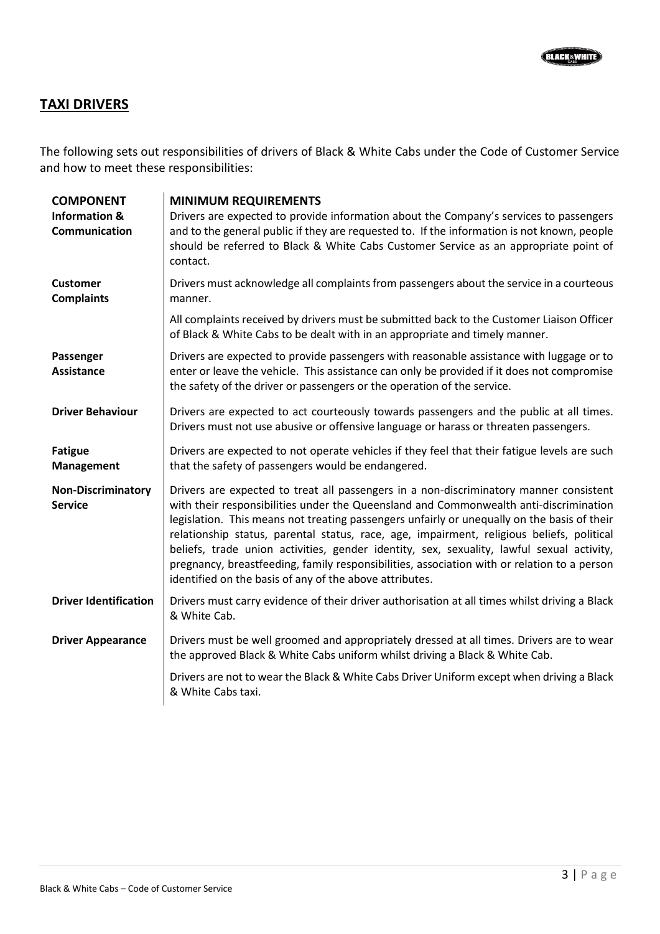## **TAXI DRIVERS**

The following sets out responsibilities of drivers of Black & White Cabs under the Code of Customer Service and how to meet these responsibilities:

| <b>COMPONENT</b><br><b>Information &amp;</b><br>Communication | <b>MINIMUM REQUIREMENTS</b><br>Drivers are expected to provide information about the Company's services to passengers<br>and to the general public if they are requested to. If the information is not known, people<br>should be referred to Black & White Cabs Customer Service as an appropriate point of<br>contact.                                                                                                                                                                                                                                                                                                           |
|---------------------------------------------------------------|------------------------------------------------------------------------------------------------------------------------------------------------------------------------------------------------------------------------------------------------------------------------------------------------------------------------------------------------------------------------------------------------------------------------------------------------------------------------------------------------------------------------------------------------------------------------------------------------------------------------------------|
| <b>Customer</b><br><b>Complaints</b>                          | Drivers must acknowledge all complaints from passengers about the service in a courteous<br>manner.                                                                                                                                                                                                                                                                                                                                                                                                                                                                                                                                |
|                                                               | All complaints received by drivers must be submitted back to the Customer Liaison Officer<br>of Black & White Cabs to be dealt with in an appropriate and timely manner.                                                                                                                                                                                                                                                                                                                                                                                                                                                           |
| Passenger<br><b>Assistance</b>                                | Drivers are expected to provide passengers with reasonable assistance with luggage or to<br>enter or leave the vehicle. This assistance can only be provided if it does not compromise<br>the safety of the driver or passengers or the operation of the service.                                                                                                                                                                                                                                                                                                                                                                  |
| <b>Driver Behaviour</b>                                       | Drivers are expected to act courteously towards passengers and the public at all times.<br>Drivers must not use abusive or offensive language or harass or threaten passengers.                                                                                                                                                                                                                                                                                                                                                                                                                                                    |
| <b>Fatigue</b><br><b>Management</b>                           | Drivers are expected to not operate vehicles if they feel that their fatigue levels are such<br>that the safety of passengers would be endangered.                                                                                                                                                                                                                                                                                                                                                                                                                                                                                 |
| <b>Non-Discriminatory</b><br><b>Service</b>                   | Drivers are expected to treat all passengers in a non-discriminatory manner consistent<br>with their responsibilities under the Queensland and Commonwealth anti-discrimination<br>legislation. This means not treating passengers unfairly or unequally on the basis of their<br>relationship status, parental status, race, age, impairment, religious beliefs, political<br>beliefs, trade union activities, gender identity, sex, sexuality, lawful sexual activity,<br>pregnancy, breastfeeding, family responsibilities, association with or relation to a person<br>identified on the basis of any of the above attributes. |
| <b>Driver Identification</b>                                  | Drivers must carry evidence of their driver authorisation at all times whilst driving a Black<br>& White Cab.                                                                                                                                                                                                                                                                                                                                                                                                                                                                                                                      |
| <b>Driver Appearance</b>                                      | Drivers must be well groomed and appropriately dressed at all times. Drivers are to wear<br>the approved Black & White Cabs uniform whilst driving a Black & White Cab.                                                                                                                                                                                                                                                                                                                                                                                                                                                            |
|                                                               | Drivers are not to wear the Black & White Cabs Driver Uniform except when driving a Black<br>& White Cabs taxi.                                                                                                                                                                                                                                                                                                                                                                                                                                                                                                                    |